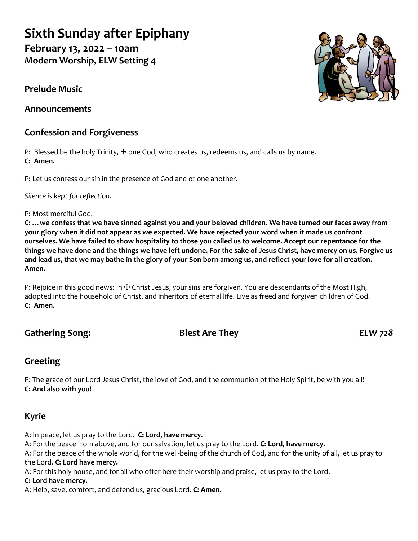# **Sixth Sunday after Epiphany**

**February 13, 2022 – 10am Modern Worship, ELW Setting 4**

**Prelude Music**

**Announcements**

# **Confession and Forgiveness**

P: Blessed be the holy Trinity,  $\pm$  one God, who creates us, redeems us, and calls us by name. **C: Amen.**

P: Let us confess our sin in the presence of God and of one another.

*Silence is kept for reflection.*

#### P: Most merciful God,

**C: …we confess that we have sinned against you and your beloved children. We have turned our faces away from your glory when it did not appear as we expected. We have rejected your word when it made us confront ourselves. We have failed to show hospitality to those you called us to welcome. Accept our repentance for the things we have done and the things we have left undone. For the sake of Jesus Christ, have mercy on us. Forgive us and lead us, that we may bathe in the glory of your Son born among us, and reflect your love for all creation. Amen.**

P: Rejoice in this good news: In + Christ Jesus, your sins are forgiven. You are descendants of the Most High, adopted into the household of Christ, and inheritors of eternal life. Live as freed and forgiven children of God. **C: Amen.**

**Gathering Song: Blest Are They** *ELW 728*

# **Greeting**

P: The grace of our Lord Jesus Christ, the love of God, and the communion of the Holy Spirit, be with you all! **C: And also with you!**

# **Kyrie**

A: In peace, let us pray to the Lord. **C: Lord, have mercy.**

A: For the peace from above, and for our salvation, let us pray to the Lord. **C: Lord, have mercy.**

A: For the peace of the whole world, for the well-being of the church of God, and for the unity of all, let us pray to the Lord. **C: Lord have mercy.**

A: For this holy house, and for all who offer here their worship and praise, let us pray to the Lord.

# **C: Lord have mercy.**

A: Help, save, comfort, and defend us, gracious Lord. **C: Amen.**

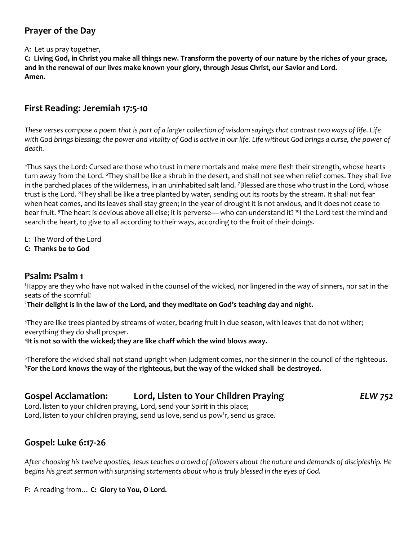# **Prayer of the Day**

A: Let us pray together,

**C: Living God, in Christ you make all things new. Transform the poverty of our nature by the riches of your grace, and in the renewal of our lives make known your glory, through Jesus Christ, our Savior and Lord. Amen.**

## **First Reading: Jeremiah 17:5-10**

*These verses compose a poem that is part of a larger collection of wisdom sayings that contrast two ways of life. Life with God brings blessing; the power and vitality of God is active in our life. Life without God brings a curse, the power of death.*

<sup>5</sup>Thus says the Lord: Cursed are those who trust in mere mortals and make mere flesh their strength, whose hearts turn away from the Lord. <sup>6</sup>They shall be like a shrub in the desert, and shall not see when relief comes. They shall live in the parched places of the wilderness, in an uninhabited salt land. <sup>7</sup>Blessed are those who trust in the Lord, whose trust is the Lord. <sup>8</sup>They shall be like a tree planted by water, sending out its roots by the stream. It shall not fear when heat comes, and its leaves shall stay green; in the year of drought it is not anxious, and it does not cease to bear fruit. <sup>9</sup>The heart is devious above all else; it is perverse— who can understand it? <sup>10</sup>I the Lord test the mind and search the heart, to give to all according to their ways, according to the fruit of their doings.

L: The Word of the Lord

**C: Thanks be to God**

#### **Psalm: Psalm 1**

<sup>1</sup>Happy are they who have not walked in the counsel of the wicked, nor lingered in the way of sinners, nor sat in the seats of the scornful!

<sup>2</sup>**Their delight is in the law of the Lord, and they meditate on God's teaching day and night.**

<sup>3</sup>They are like trees planted by streams of water, bearing fruit in due season, with leaves that do not wither; everything they do shall prosper.

4 **It is not so with the wicked; they are like chaff which the wind blows away.**

<sup>5</sup>Therefore the wicked shall not stand upright when judgment comes, nor the sinner in the council of the righteous. <sup>6</sup>**For the Lord knows the way of the righteous, but the way of the wicked shall be destroyed.**

### **Gospel Acclamation: Lord, Listen to Your Children Praying** *ELW 752*

Lord, listen to your children praying, Lord, send your Spirit in this place; Lord, listen to your children praying, send us love, send us pow'r, send us grace.

### **Gospel: Luke 6:17-26**

*After choosing his twelve apostles, Jesus teaches a crowd of followers about the nature and demands of discipleship. He begins his great sermon with surprising statements about who is truly blessed in the eyes of God.*

P: A reading from… **C: Glory to You, O Lord.**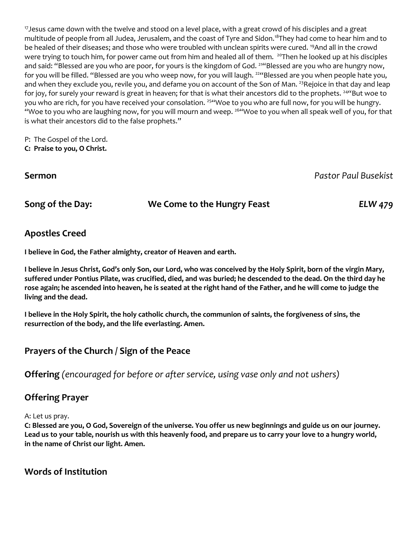$17$  Jesus came down with the twelve and stood on a level place, with a great crowd of his disciples and a great multitude of people from all Judea, Jerusalem, and the coast of Tyre and Sidon.<sup>18</sup>They had come to hear him and to be healed of their diseases; and those who were troubled with unclean spirits were cured. <sup>19</sup>And all in the crowd were trying to touch him, for power came out from him and healed all of them. <sup>20</sup>Then he looked up at his disciples and said: "Blessed are you who are poor, for yours is the kingdom of God. <sup>2144</sup>Blessed are you who are hungry now, for you will be filled. "Blessed are you who weep now, for you will laugh. <sup>22</sup>"Blessed are you when people hate you, and when they exclude you, revile you, and defame you on account of the Son of Man. <sup>23</sup>Rejoice in that day and leap for joy, for surely your reward is great in heaven; for that is what their ancestors did to the prophets. <sup>24"</sup>But woe to you who are rich, for you have received your consolation. <sup>254</sup> Woe to you who are full now, for you will be hungry. "Woe to you who are laughing now, for you will mourn and weep. <sup>26"</sup>Woe to you when all speak well of you, for that is what their ancestors did to the false prophets."

P: The Gospel of the Lord. **C: Praise to you, O Christ.**

**Sermon** *Pastor Paul Busekist*

#### **Song of the Day: We Come to the Hungry Feast** *ELW 479*

#### **Apostles Creed**

**I believe in God, the Father almighty, creator of Heaven and earth.** 

**I believe in Jesus Christ, God's only Son, our Lord, who was conceived by the Holy Spirit, born of the virgin Mary, suffered under Pontius Pilate, was crucified, died, and was buried; he descended to the dead. On the third day he rose again; he ascended into heaven, he is seated at the right hand of the Father, and he will come to judge the living and the dead.**

**I believe in the Holy Spirit, the holy catholic church, the communion of saints, the forgiveness of sins, the resurrection of the body, and the life everlasting. Amen.**

### **Prayers of the Church / Sign of the Peace**

**Offering** *(encouraged for before or after service, using vase only and not ushers)*

### **Offering Prayer**

A: Let us pray.

**C: Blessed are you, O God, Sovereign of the universe. You offer us new beginnings and guide us on our journey. Lead us to your table, nourish us with this heavenly food, and prepare us to carry your love to a hungry world, in the name of Christ our light. Amen.** 

### **Words of Institution**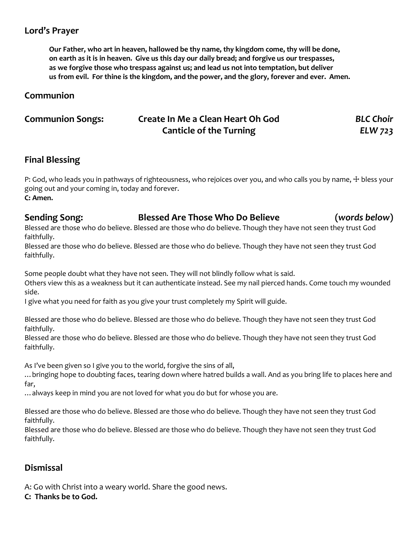# **Lord's Prayer**

**Our Father, who art in heaven, hallowed be thy name, thy kingdom come, thy will be done, on earth as it is in heaven. Give us this day our daily bread; and forgive us our trespasses, as we forgive those who trespass against us; and lead us not into temptation, but deliver us from evil. For thine is the kingdom, and the power, and the glory, forever and ever. Amen.**

## **Communion**

| <b>Communion Songs:</b> | Create In Me a Clean Heart Oh God | <b>BLC Choir</b> |
|-------------------------|-----------------------------------|------------------|
|                         | <b>Canticle of the Turning</b>    | <b>ELW 723</b>   |

#### **Final Blessing**

P: God, who leads you in pathways of righteousness, who rejoices over you, and who calls you by name,  $\pm$  bless your going out and your coming in, today and forever. **C: Amen.**

#### **Sending Song: Blessed Are Those Who Do Believe (***words below***)**

Blessed are those who do believe. Blessed are those who do believe. Though they have not seen they trust God faithfully.

Blessed are those who do believe. Blessed are those who do believe. Though they have not seen they trust God faithfully.

Some people doubt what they have not seen. They will not blindly follow what is said.

Others view this as a weakness but it can authenticate instead. See my nail pierced hands. Come touch my wounded side.

I give what you need for faith as you give your trust completely my Spirit will guide.

Blessed are those who do believe. Blessed are those who do believe. Though they have not seen they trust God faithfully.

Blessed are those who do believe. Blessed are those who do believe. Though they have not seen they trust God faithfully.

As I've been given so I give you to the world, forgive the sins of all,

…bringing hope to doubting faces, tearing down where hatred builds a wall. And as you bring life to places here and far,

…always keep in mind you are not loved for what you do but for whose you are.

Blessed are those who do believe. Blessed are those who do believe. Though they have not seen they trust God faithfully.

Blessed are those who do believe. Blessed are those who do believe. Though they have not seen they trust God faithfully.

### **Dismissal**

A: Go with Christ into a weary world. Share the good news.

**C: Thanks be to God.**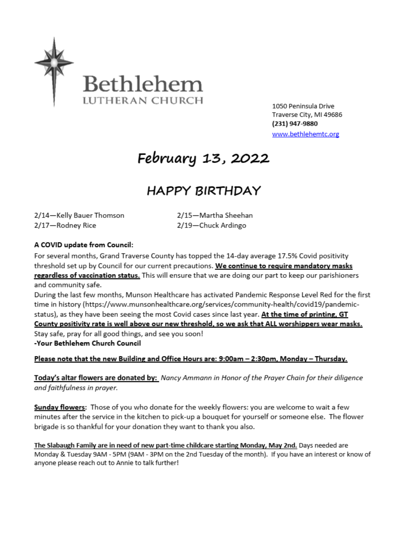

1050 Peninsula Drive Traverse City, MI 49686 (231) 947-9880 www.bethlehemtc.org

# February 13, 2022

# **HAPPY BIRTHDAY**

2/14-Kelly Bauer Thomson 2/17-Rodney Rice

2/15-Martha Sheehan 2/19-Chuck Ardingo

#### A COVID update from Council:

For several months, Grand Traverse County has topped the 14-day average 17.5% Covid positivity threshold set up by Council for our current precautions. We continue to require mandatory masks regardless of vaccination status. This will ensure that we are doing our part to keep our parishioners and community safe.

During the last few months, Munson Healthcare has activated Pandemic Response Level Red for the first time in history (https://www.munsonhealthcare.org/services/community-health/covid19/pandemicstatus), as they have been seeing the most Covid cases since last year. At the time of printing, GT County positivity rate is well above our new threshold, so we ask that ALL worshippers wear masks. Stay safe, pray for all good things, and see you soon! -Your Bethlehem Church Council

Please note that the new Building and Office Hours are: 9:00am - 2:30pm, Monday - Thursday.

Today's altar flowers are donated by: Nancy Ammann in Honor of the Prayer Chain for their diligence and faithfulness in prayer.

**Sunday flowers:** Those of you who donate for the weekly flowers: you are welcome to wait a few minutes after the service in the kitchen to pick-up a bouquet for yourself or someone else. The flower brigade is so thankful for your donation they want to thank you also.

The Slabaugh Family are in need of new part-time childcare starting Monday, May 2nd. Days needed are Monday & Tuesday 9AM - 5PM (9AM - 3PM on the 2nd Tuesday of the month). If you have an interest or know of anyone please reach out to Annie to talk further!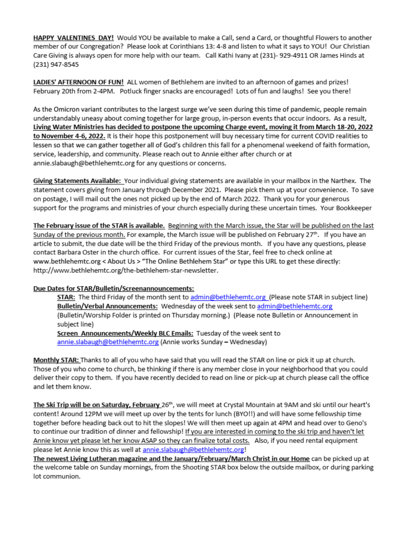HAPPY VALENTINES DAY! Would YOU be available to make a Call, send a Card, or thoughtful Flowers to another member of our Congregation? Please look at Corinthians 13: 4-8 and listen to what it says to YOU! Our Christian Care Giving is always open for more help with our team. Call Kathi Ivany at (231)-929-4911 OR James Hinds at (231) 947-8545

LADIES' AFTERNOON OF FUN! ALL women of Bethlehem are invited to an afternoon of games and prizes! February 20th from 2-4PM. Potluck finger snacks are encouraged! Lots of fun and laughs! See you there!

As the Omicron variant contributes to the largest surge we've seen during this time of pandemic, people remain understandably uneasy about coming together for large group, in-person events that occur indoors. As a result, Living Water Ministries has decided to postpone the upcoming Charge event, moving it from March 18-20, 2022 to November 4-6, 2022. It is their hope this postponement will buy necessary time for current COVID realities to lessen so that we can gather together all of God's children this fall for a phenomenal weekend of faith formation, service, leadership, and community. Please reach out to Annie either after church or at annie.slabaugh@bethlehemtc.org for any questions or concerns.

Giving Statements Available: Your individual giving statements are available in your mailbox in the Narthex. The statement covers giving from January through December 2021. Please pick them up at your convenience. To save on postage, I will mail out the ones not picked up by the end of March 2022. Thank you for your generous support for the programs and ministries of your church especially during these uncertain times. Your Bookkeeper

The February issue of the STAR is available. Beginning with the March issue, the Star will be published on the last Sunday of the previous month. For example, the March issue will be published on February 27th. If you have an article to submit, the due date will be the third Friday of the previous month. If you have any questions, please contact Barbara Oster in the church office. For current issues of the Star, feel free to check online at www.bethlehemtc.org < About Us > "The Online Bethlehem Star" or type this URL to get these directly: http://www.bethlehemtc.org/the-bethlehem-star-newsletter.

#### Due Dates for STAR/Bulletin/Screenannouncements:

STAR: The third Friday of the month sent to admin@bethlehemtc.org (Please note STAR in subject line) Bulletin/Verbal Announcements: Wednesday of the week sent to admin@bethlehemtc.org (Bulletin/Worship Folder is printed on Thursday morning.) (Please note Bulletin or Announcement in subject line)

Screen Announcements/Weekly BLC Emails: Tuesday of the week sent to annie.slabaugh@bethlehemtc.org (Annie works Sunday - Wednesday)

Monthly STAR: Thanks to all of you who have said that you will read the STAR on line or pick it up at church. Those of you who come to church, be thinking if there is any member close in your neighborhood that you could deliver their copy to them. If you have recently decided to read on line or pick-up at church please call the office and let them know.

The Ski Trip will be on Saturday, February 26<sup>th</sup>, we will meet at Crystal Mountain at 9AM and ski until our heart's content! Around 12PM we will meet up over by the tents for lunch (BYO!!) and will have some fellowship time together before heading back out to hit the slopes! We will then meet up again at 4PM and head over to Geno's to continue our tradition of dinner and fellowship! If you are interested in coming to the ski trip and haven't let Annie know yet please let her know ASAP so they can finalize total costs. Also, if you need rental equipment please let Annie know this as well at annie.slabaugh@bethlehemtc.org!

The newest Living Lutheran magazine and the January/February/March Christ in our Home can be picked up at the welcome table on Sunday mornings, from the Shooting STAR box below the outside mailbox, or during parking lot communion.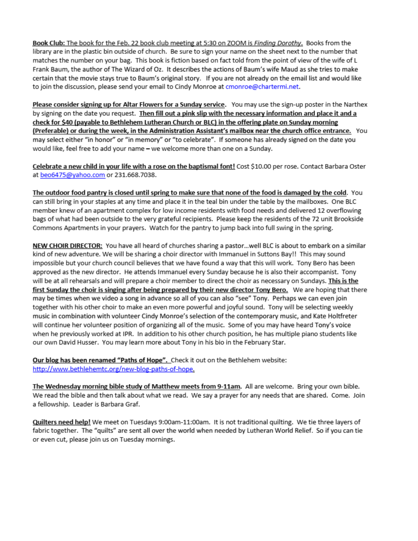Book Club: The book for the Feb. 22 book club meeting at 5:30 on ZOOM is Finding Dorothy. Books from the library are in the plastic bin outside of church. Be sure to sign your name on the sheet next to the number that matches the number on your bag. This book is fiction based on fact told from the point of view of the wife of L Frank Baum, the author of The Wizard of Oz. It describes the actions of Baum's wife Maud as she tries to make certain that the movie stays true to Baum's original story. If you are not already on the email list and would like to join the discussion, please send your email to Cindy Monroe at cmonroe@chartermi.net.

Please consider signing up for Altar Flowers for a Sunday service. You may use the sign-up poster in the Narthex by signing on the date you request. Then fill out a pink slip with the necessary information and place it and a check for \$40 (payable to Bethlehem Lutheran Church or BLC) in the offering plate on Sunday morning (Preferable) or during the week, in the Administration Assistant's mailbox near the church office entrance. You may select either "in honor" or "in memory" or "to celebrate". If someone has already signed on the date you would like, feel free to add your name - we welcome more than one on a Sunday.

Celebrate a new child in your life with a rose on the baptismal font! Cost \$10.00 per rose. Contact Barbara Oster at beo6475@yahoo.com or 231.668.7038.

The outdoor food pantry is closed until spring to make sure that none of the food is damaged by the cold. You can still bring in your staples at any time and place it in the teal bin under the table by the mailboxes. One BLC member knew of an apartment complex for low income residents with food needs and delivered 12 overflowing bags of what had been outside to the very grateful recipients. Please keep the residents of the 72 unit Brookside Commons Apartments in your prayers. Watch for the pantry to jump back into full swing in the spring.

NEW CHOIR DIRECTOR: You have all heard of churches sharing a pastor...well BLC is about to embark on a similar kind of new adventure. We will be sharing a choir director with Immanuel in Suttons Bay!! This may sound impossible but your church council believes that we have found a way that this will work. Tony Bero has been approved as the new director. He attends Immanuel every Sunday because he is also their accompanist. Tony will be at all rehearsals and will prepare a choir member to direct the choir as necessary on Sundays. This is the first Sunday the choir is singing after being prepared by their new director Tony Bero. We are hoping that there may be times when we video a song in advance so all of you can also "see" Tony. Perhaps we can even join together with his other choir to make an even more powerful and joyful sound. Tony will be selecting weekly music in combination with volunteer Cindy Monroe's selection of the contemporary music, and Kate Holtfreter will continue her volunteer position of organizing all of the music. Some of you may have heard Tony's voice when he previously worked at IPR. In addition to his other church position, he has multiple piano students like our own David Husser. You may learn more about Tony in his bio in the February Star.

Our blog has been renamed "Paths of Hope". Check it out on the Bethlehem website: http://www.bethlehemtc.org/new-blog-paths-of-hope.

The Wednesday morning bible study of Matthew meets from 9-11am. All are welcome. Bring your own bible. We read the bible and then talk about what we read. We say a prayer for any needs that are shared. Come. Join a fellowship. Leader is Barbara Graf.

Quilters need help! We meet on Tuesdays 9:00am-11:00am. It is not traditional quilting. We tie three layers of fabric together. The "quilts" are sent all over the world when needed by Lutheran World Relief. So if you can tie or even cut, please join us on Tuesday mornings.